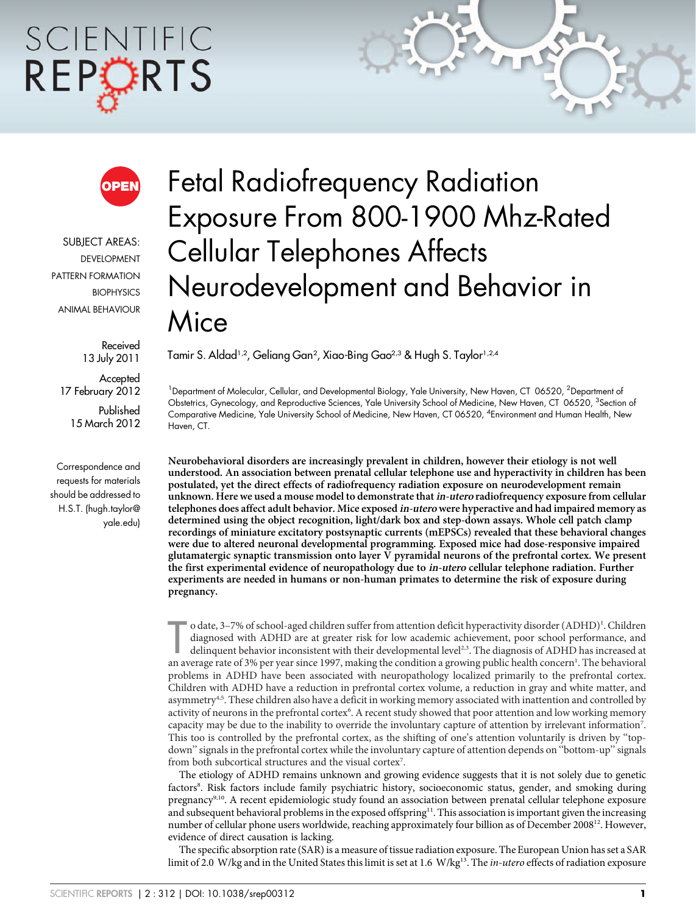# SCIENTIFIC REPORTS



SUBJECT AREAS: DEVELOPMENT PATTERN FORMATION **BIOPHYSICS** ANIMAL BEHAVIOUR

> Received 13 July 2011

Accepted 17 February 2012

Published 15 March 2012

Correspondence and requests for materials should be addressed to H.S.T. (hugh.taylor@ yale.edu)

# Fetal Radiofrequency Radiation Exposure From 800-1900 Mhz-Rated Cellular Telephones Affects Neurodevelopment and Behavior in Mice

Tamir S. Aldad½, Geliang Gan², Xiao-Bing Gao<sup>2,3</sup> & Hugh S. Taylor½4

<sup>1</sup> Department of Molecular, Cellular, and Developmental Biology, Yale University, New Haven, CT 06520, <sup>2</sup>Department of Obstetrics, Gynecology, and Reproductive Sciences, Yale University School of Medicine, New Haven, CT 06520, <sup>3</sup>Section of Comparative Medicine, Yale University School of Medicine, New Haven, CT 06520, <sup>4</sup> Environment and Human Health, New Haven, CT.

Neurobehavioral disorders are increasingly prevalent in children, however their etiology is not well understood. An association between prenatal cellular telephone use and hyperactivity in children has been postulated, yet the direct effects of radiofrequency radiation exposure on neurodevelopment remain unknown. Here we used a mouse model to demonstrate that in-utero radiofrequency exposure from cellular telephones does affect adult behavior. Mice exposed in-utero were hyperactive and had impaired memory as determined using the object recognition, light/dark box and step-down assays. Whole cell patch clamp recordings of miniature excitatory postsynaptic currents (mEPSCs) revealed that these behavioral changes were due to altered neuronal developmental programming. Exposed mice had dose-responsive impaired glutamatergic synaptic transmission onto layer V pyramidal neurons of the prefrontal cortex. We present the first experimental evidence of neuropathology due to in-utero cellular telephone radiation. Further experiments are needed in humans or non-human primates to determine the risk of exposure during pregnancy.

o date, 3–7% of school-aged children suffer from attention deficit hyperactivity disorder (ADHD)<sup>1</sup>. Children diagnosed with ADHD are at greater risk for low academic achievement, poor school performance, and delinquent be o date, 3-7% of school-aged children suffer from attention deficit hyperactivity disorder (ADHD)<sup>1</sup>. Children diagnosed with ADHD are at greater risk for low academic achievement, poor school performance, and delinquent behavior inconsistent with their developmental level<sup>2,3</sup>. The diagnosis of ADHD has increased at problems in ADHD have been associated with neuropathology localized primarily to the prefrontal cortex. Children with ADHD have a reduction in prefrontal cortex volume, a reduction in gray and white matter, and asymmetry<sup>4,5</sup>. These children also have a deficit in working memory associated with inattention and controlled by activity of neurons in the prefrontal cortex<sup>6</sup>. A recent study showed that poor attention and low working memory capacity may be due to the inability to override the involuntary capture of attention by irrelevant information<sup>7</sup>. This too is controlled by the prefrontal cortex, as the shifting of one's attention voluntarily is driven by ''topdown'' signals in the prefrontal cortex while the involuntary capture of attention depends on ''bottom-up'' signals from both subcortical structures and the visual cortex<sup>7</sup>.

The etiology of ADHD remains unknown and growing evidence suggests that it is not solely due to genetic factors<sup>8</sup>. Risk factors include family psychiatric history, socioeconomic status, gender, and smoking during pregnancy9,10. A recent epidemiologic study found an association between prenatal cellular telephone exposure and subsequent behavioral problems in the exposed offspring<sup>11</sup>. This association is important given the increasing number of cellular phone users worldwide, reaching approximately four billion as of December 2008<sup>12</sup>. However, evidence of direct causation is lacking.

The specific absorption rate (SAR) is a measure of tissue radiation exposure. The European Union has set a SAR limit of 2.0 W/kg and in the United States this limit is set at 1.6 W/kg<sup>13</sup>. The *in-utero* effects of radiation exposure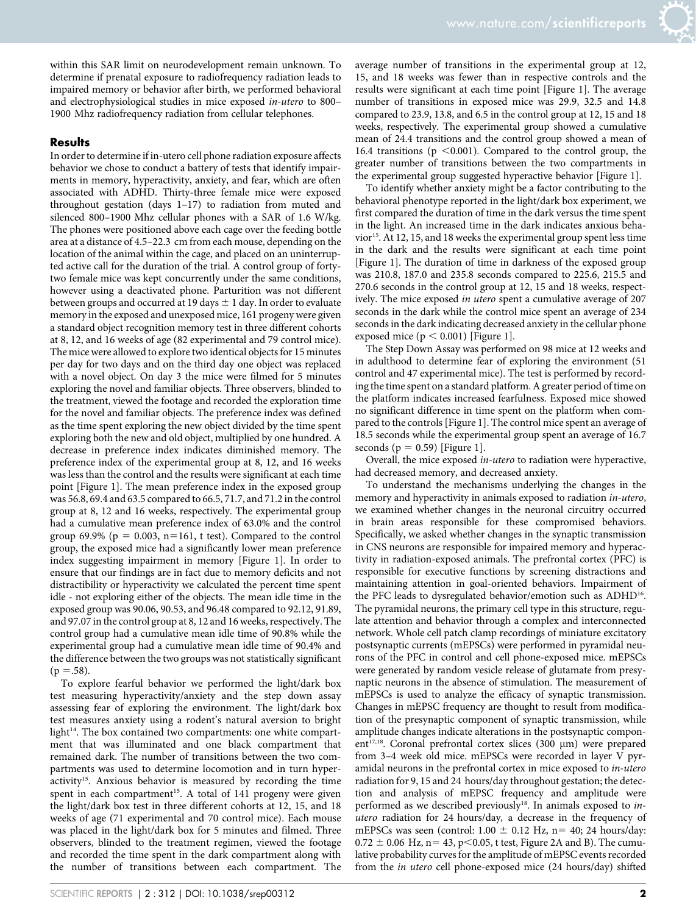within this SAR limit on neurodevelopment remain unknown. To determine if prenatal exposure to radiofrequency radiation leads to impaired memory or behavior after birth, we performed behavioral and electrophysiological studies in mice exposed in-utero to 800– 1900 Mhz radiofrequency radiation from cellular telephones.

# Results

In order to determine if in-utero cell phone radiation exposure affects behavior we chose to conduct a battery of tests that identify impairments in memory, hyperactivity, anxiety, and fear, which are often associated with ADHD. Thirty-three female mice were exposed throughout gestation (days 1–17) to radiation from muted and silenced 800–1900 Mhz cellular phones with a SAR of 1.6 W/kg. The phones were positioned above each cage over the feeding bottle area at a distance of 4.5–22.3 cm from each mouse, depending on the location of the animal within the cage, and placed on an uninterrupted active call for the duration of the trial. A control group of fortytwo female mice was kept concurrently under the same conditions, however using a deactivated phone. Parturition was not different between groups and occurred at 19 days  $\pm$  1 day. In order to evaluate memory in the exposed and unexposed mice, 161 progeny were given a standard object recognition memory test in three different cohorts at 8, 12, and 16 weeks of age (82 experimental and 79 control mice). The mice were allowed to explore two identical objects for 15 minutes per day for two days and on the third day one object was replaced with a novel object. On day 3 the mice were filmed for 5 minutes exploring the novel and familiar objects. Three observers, blinded to the treatment, viewed the footage and recorded the exploration time for the novel and familiar objects. The preference index was defined as the time spent exploring the new object divided by the time spent exploring both the new and old object, multiplied by one hundred. A decrease in preference index indicates diminished memory. The preference index of the experimental group at 8, 12, and 16 weeks was less than the control and the results were significant at each time point [Figure 1]. The mean preference index in the exposed group was 56.8, 69.4 and 63.5 compared to 66.5, 71.7, and 71.2 in the control group at 8, 12 and 16 weeks, respectively. The experimental group had a cumulative mean preference index of 63.0% and the control group 69.9% ( $p = 0.003$ ,  $n=161$ , t test). Compared to the control group, the exposed mice had a significantly lower mean preference index suggesting impairment in memory [Figure 1]. In order to ensure that our findings are in fact due to memory deficits and not distractibility or hyperactivity we calculated the percent time spent idle - not exploring either of the objects. The mean idle time in the exposed group was 90.06, 90.53, and 96.48 compared to 92.12, 91.89, and 97.07 in the control group at 8, 12 and 16 weeks, respectively. The control group had a cumulative mean idle time of 90.8% while the experimental group had a cumulative mean idle time of 90.4% and the difference between the two groups was not statistically significant  $(p = .58)$ .

To explore fearful behavior we performed the light/dark box test measuring hyperactivity/anxiety and the step down assay assessing fear of exploring the environment. The light/dark box test measures anxiety using a rodent's natural aversion to bright light<sup>14</sup>. The box contained two compartments: one white compartment that was illuminated and one black compartment that remained dark. The number of transitions between the two compartments was used to determine locomotion and in turn hyperactivity<sup>15</sup>. Anxious behavior is measured by recording the time spent in each compartment<sup>15</sup>. A total of 141 progeny were given the light/dark box test in three different cohorts at 12, 15, and 18 weeks of age (71 experimental and 70 control mice). Each mouse was placed in the light/dark box for 5 minutes and filmed. Three observers, blinded to the treatment regimen, viewed the footage and recorded the time spent in the dark compartment along with the number of transitions between each compartment. The average number of transitions in the experimental group at 12, 15, and 18 weeks was fewer than in respective controls and the results were significant at each time point [Figure 1]. The average number of transitions in exposed mice was 29.9, 32.5 and 14.8 compared to 23.9, 13.8, and 6.5 in the control group at 12, 15 and 18 weeks, respectively. The experimental group showed a cumulative mean of 24.4 transitions and the control group showed a mean of 16.4 transitions ( $p \le 0.001$ ). Compared to the control group, the greater number of transitions between the two compartments in the experimental group suggested hyperactive behavior [Figure 1].

To identify whether anxiety might be a factor contributing to the behavioral phenotype reported in the light/dark box experiment, we first compared the duration of time in the dark versus the time spent in the light. An increased time in the dark indicates anxious behavior<sup>15</sup>. At 12, 15, and 18 weeks the experimental group spent less time in the dark and the results were significant at each time point [Figure 1]. The duration of time in darkness of the exposed group was 210.8, 187.0 and 235.8 seconds compared to 225.6, 215.5 and 270.6 seconds in the control group at 12, 15 and 18 weeks, respectively. The mice exposed in utero spent a cumulative average of 207 seconds in the dark while the control mice spent an average of 234 seconds in the dark indicating decreased anxiety in the cellular phone exposed mice ( $p < 0.001$ ) [Figure 1].

The Step Down Assay was performed on 98 mice at 12 weeks and in adulthood to determine fear of exploring the environment (51 control and 47 experimental mice). The test is performed by recording the time spent on a standard platform. A greater period of time on the platform indicates increased fearfulness. Exposed mice showed no significant difference in time spent on the platform when compared to the controls [Figure 1]. The control mice spent an average of 18.5 seconds while the experimental group spent an average of 16.7 seconds ( $p = 0.59$ ) [Figure 1].

Overall, the mice exposed in-utero to radiation were hyperactive, had decreased memory, and decreased anxiety.

To understand the mechanisms underlying the changes in the memory and hyperactivity in animals exposed to radiation in-utero, we examined whether changes in the neuronal circuitry occurred in brain areas responsible for these compromised behaviors. Specifically, we asked whether changes in the synaptic transmission in CNS neurons are responsible for impaired memory and hyperactivity in radiation-exposed animals. The prefrontal cortex (PFC) is responsible for executive functions by screening distractions and maintaining attention in goal-oriented behaviors. Impairment of the PFC leads to dysregulated behavior/emotion such as ADHD<sup>16</sup>. The pyramidal neurons, the primary cell type in this structure, regulate attention and behavior through a complex and interconnected network. Whole cell patch clamp recordings of miniature excitatory postsynaptic currents (mEPSCs) were performed in pyramidal neurons of the PFC in control and cell phone-exposed mice. mEPSCs were generated by random vesicle release of glutamate from presynaptic neurons in the absence of stimulation. The measurement of mEPSCs is used to analyze the efficacy of synaptic transmission. Changes in mEPSC frequency are thought to result from modification of the presynaptic component of synaptic transmission, while amplitude changes indicate alterations in the postsynaptic component<sup>17,18</sup>. Coronal prefrontal cortex slices (300 µm) were prepared from 3–4 week old mice. mEPSCs were recorded in layer V pyramidal neurons in the prefrontal cortex in mice exposed to in-utero radiation for 9, 15 and 24 hours/day throughout gestation; the detection and analysis of mEPSC frequency and amplitude were performed as we described previously<sup>18</sup>. In animals exposed to inutero radiation for 24 hours/day, a decrease in the frequency of mEPSCs was seen (control:  $1.00 \pm 0.12$  Hz, n= 40; 24 hours/day:  $0.72 \pm 0.06$  Hz, n= 43, p $<$ 0.05, t test, Figure 2A and B). The cumulative probability curves for the amplitude of mEPSC events recorded from the in utero cell phone-exposed mice (24 hours/day) shifted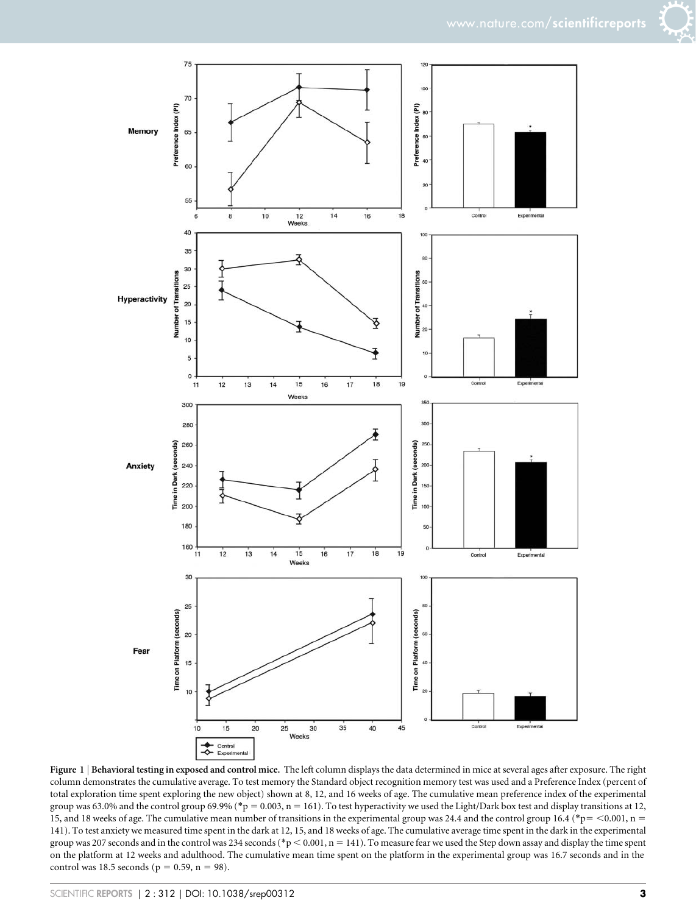



Figure 1 | Behavioral testing in exposed and control mice. The left column displays the data determined in mice at several ages after exposure. The right column demonstrates the cumulative average. To test memory the Standard object recognition memory test was used and a Preference Index (percent of total exploration time spent exploring the new object) shown at 8, 12, and 16 weeks of age. The cumulative mean preference index of the experimental group was 63.0% and the control group 69.9% (\*p = 0.003, n = 161). To test hyperactivity we used the Light/Dark box test and display transitions at 12, 15, and 18 weeks of age. The cumulative mean number of transitions in the experimental group was 24.4 and the control group 16.4 (\*p= < 0.001, n = 141). To test anxiety we measured time spent in the dark at 12, 15, and 18 weeks of age. The cumulative average time spent in the dark in the experimental group was 207 seconds and in the control was 234 seconds (\*p < 0.001, n = 141). To measure fear we used the Step down assay and display the time spent on the platform at 12 weeks and adulthood. The cumulative mean time spent on the platform in the experimental group was 16.7 seconds and in the control was 18.5 seconds ( $p = 0.59$ ,  $n = 98$ ).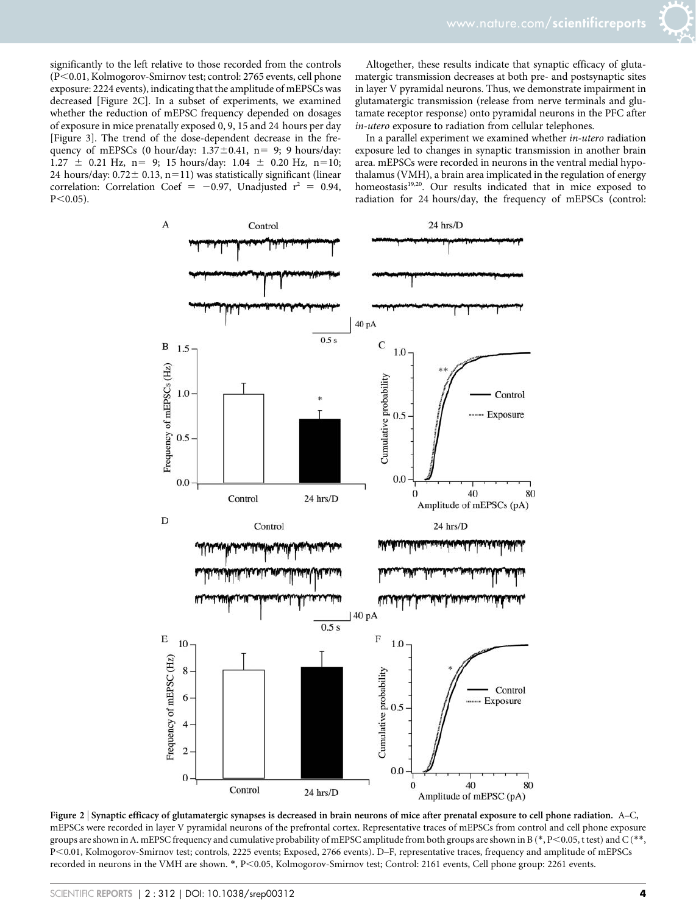significantly to the left relative to those recorded from the controls (P<0.01, Kolmogorov-Smirnov test; control: 2765 events, cell phone exposure: 2224 events), indicating that the amplitude of mEPSCs was decreased [Figure 2C]. In a subset of experiments, we examined whether the reduction of mEPSC frequency depended on dosages of exposure in mice prenatally exposed 0, 9, 15 and 24 hours per day [Figure 3]. The trend of the dose-dependent decrease in the frequency of mEPSCs (0 hour/day:  $1.37 \pm 0.41$ , n= 9; 9 hours/day:  $1.27 \pm 0.21$  Hz, n= 9; 15 hours/day:  $1.04 \pm 0.20$  Hz, n=10; 24 hours/day:  $0.72 \pm 0.13$ , n=11) was statistically significant (linear correlation: Correlation Coef = -0.97, Unadjusted  $r^2$  = 0.94,  $P<0.05$ ).

Altogether, these results indicate that synaptic efficacy of glutamatergic transmission decreases at both pre- and postsynaptic sites in layer V pyramidal neurons. Thus, we demonstrate impairment in glutamatergic transmission (release from nerve terminals and glutamate receptor response) onto pyramidal neurons in the PFC after in-utero exposure to radiation from cellular telephones.

In a parallel experiment we examined whether in-utero radiation exposure led to changes in synaptic transmission in another brain area. mEPSCs were recorded in neurons in the ventral medial hypothalamus (VMH), a brain area implicated in the regulation of energy homeostasis<sup>19,20</sup>. Our results indicated that in mice exposed to radiation for 24 hours/day, the frequency of mEPSCs (control:



Figure 2 <sup>|</sup> Synaptic efficacy of glutamatergic synapses is decreased in brain neurons of mice after prenatal exposure to cell phone radiation. A–C, mEPSCs were recorded in layer V pyramidal neurons of the prefrontal cortex. Representative traces of mEPSCs from control and cell phone exposure groups are shown in A. mEPSC frequency and cumulative probability of mEPSC amplitude from both groups are shown in B (\*, P<0.05, t test) and C (\*\*, P<0.01, Kolmogorov-Smirnov test; controls, 2225 events; Exposed, 2766 events). D–F, representative traces, frequency and amplitude of mEPSCs recorded in neurons in the VMH are shown. \*, P<0.05, Kolmogorov-Smirnov test; Control: 2161 events, Cell phone group: 2261 events.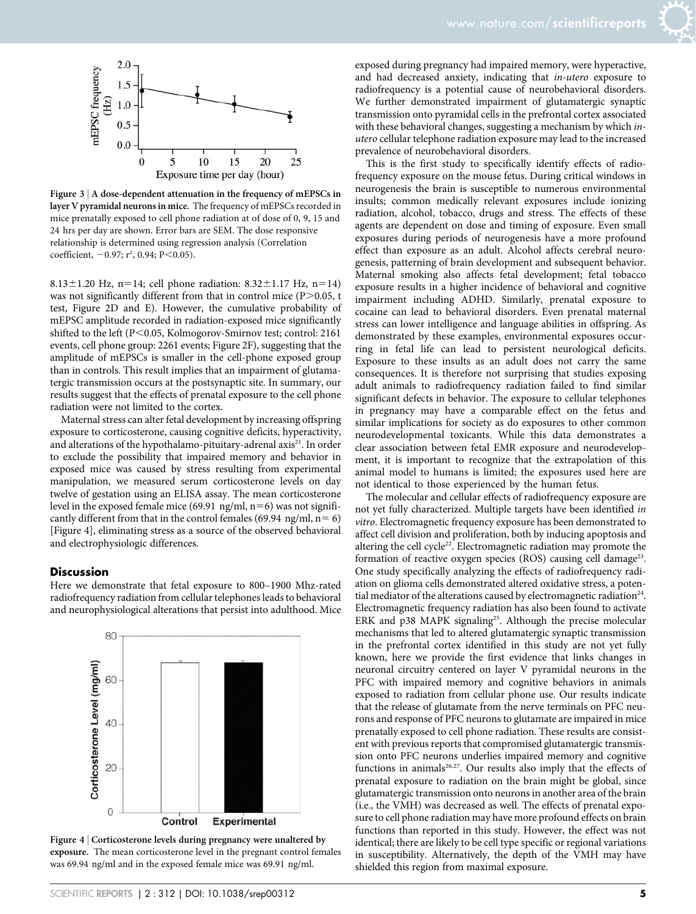

Figure  $3 \nvert A$  dose-dependent attenuation in the frequency of mEPSCs in layer V pyramidal neurons in mice. The frequency of mEPSCs recorded in mice prenatally exposed to cell phone radiation at of dose of 0, 9, 15 and 24 hrs per day are shown. Error bars are SEM. The dose responsive relationship is determined using regression analysis (Correlation coefficient,  $-0.97$ ; r<sup>2</sup>, 0.94; P<0.05).

8.13 $\pm$ 1.20 Hz, n=14; cell phone radiation: 8.32 $\pm$ 1.17 Hz, n=14) was not significantly different from that in control mice  $(P>0.05, t)$ test, Figure 2D and E). However, the cumulative probability of mEPSC amplitude recorded in radiation-exposed mice significantly shifted to the left (P<0.05, Kolmogorov-Smirnov test; control: 2161 events, cell phone group: 2261 events; Figure 2F), suggesting that the amplitude of mEPSCs is smaller in the cell-phone exposed group than in controls. This result implies that an impairment of glutamatergic transmission occurs at the postsynaptic site. In summary, our results suggest that the effects of prenatal exposure to the cell phone radiation were not limited to the cortex.

Maternal stress can alter fetal development by increasing offspring exposure to corticosterone, causing cognitive deficits, hyperactivity, and alterations of the hypothalamo-pituitary-adrenal axis<sup>21</sup>. In order to exclude the possibility that impaired memory and behavior in exposed mice was caused by stress resulting from experimental manipulation, we measured serum corticosterone levels on day twelve of gestation using an ELISA assay. The mean corticosterone level in the exposed female mice (69.91 ng/ml,  $n=6$ ) was not significantly different from that in the control females (69.94 ng/ml,  $n=6$ ) [Figure 4], eliminating stress as a source of the observed behavioral and electrophysiologic differences.

#### Discussion

Here we demonstrate that fetal exposure to 800–1900 Mhz-rated radiofrequency radiation from cellular telephones leads to behavioral and neurophysiological alterations that persist into adulthood. Mice



Figure 4 <sup>|</sup> Corticosterone levels during pregnancy were unaltered by exposure. The mean corticosterone level in the pregnant control females was 69.94 ng/ml and in the exposed female mice was 69.91 ng/ml.

exposed during pregnancy had impaired memory, were hyperactive, and had decreased anxiety, indicating that in-utero exposure to radiofrequency is a potential cause of neurobehavioral disorders. We further demonstrated impairment of glutamatergic synaptic transmission onto pyramidal cells in the prefrontal cortex associated with these behavioral changes, suggesting a mechanism by which inutero cellular telephone radiation exposure may lead to the increased prevalence of neurobehavioral disorders.

This is the first study to specifically identify effects of radiofrequency exposure on the mouse fetus. During critical windows in neurogenesis the brain is susceptible to numerous environmental insults; common medically relevant exposures include ionizing radiation, alcohol, tobacco, drugs and stress. The effects of these agents are dependent on dose and timing of exposure. Even small exposures during periods of neurogenesis have a more profound effect than exposure as an adult. Alcohol affects cerebral neurogenesis, patterning of brain development and subsequent behavior. Maternal smoking also affects fetal development; fetal tobacco exposure results in a higher incidence of behavioral and cognitive impairment including ADHD. Similarly, prenatal exposure to cocaine can lead to behavioral disorders. Even prenatal maternal stress can lower intelligence and language abilities in offspring. As demonstrated by these examples, environmental exposures occurring in fetal life can lead to persistent neurological deficits. Exposure to these insults as an adult does not carry the same consequences. It is therefore not surprising that studies exposing adult animals to radiofrequency radiation failed to find similar significant defects in behavior. The exposure to cellular telephones in pregnancy may have a comparable effect on the fetus and similar implications for society as do exposures to other common neurodevelopmental toxicants. While this data demonstrates a clear association between fetal EMR exposure and neurodevelopment, it is important to recognize that the extrapolation of this animal model to humans is limited; the exposures used here are not identical to those experienced by the human fetus.

The molecular and cellular effects of radiofrequency exposure are not yet fully characterized. Multiple targets have been identified in vitro. Electromagnetic frequency exposure has been demonstrated to affect cell division and proliferation, both by inducing apoptosis and altering the cell cycle<sup>22</sup>. Electromagnetic radiation may promote the formation of reactive oxygen species (ROS) causing cell damage<sup>23</sup>. One study specifically analyzing the effects of radiofrequency radiation on glioma cells demonstrated altered oxidative stress, a potential mediator of the alterations caused by electromagnetic radiation<sup>24</sup>. Electromagnetic frequency radiation has also been found to activate ERK and p38 MAPK signaling<sup>25</sup>. Although the precise molecular mechanisms that led to altered glutamatergic synaptic transmission in the prefrontal cortex identified in this study are not yet fully known, here we provide the first evidence that links changes in neuronal circuitry centered on layer V pyramidal neurons in the PFC with impaired memory and cognitive behaviors in animals exposed to radiation from cellular phone use. Our results indicate that the release of glutamate from the nerve terminals on PFC neurons and response of PFC neurons to glutamate are impaired in mice prenatally exposed to cell phone radiation. These results are consistent with previous reports that compromised glutamatergic transmission onto PFC neurons underlies impaired memory and cognitive functions in animals<sup>26,27</sup>. Our results also imply that the effects of prenatal exposure to radiation on the brain might be global, since glutamatergic transmission onto neurons in another area of the brain (i.e., the VMH) was decreased as well. The effects of prenatal exposure to cell phone radiation may have more profound effects on brain functions than reported in this study. However, the effect was not identical; there are likely to be cell type specific or regional variations in susceptibility. Alternatively, the depth of the VMH may have shielded this region from maximal exposure.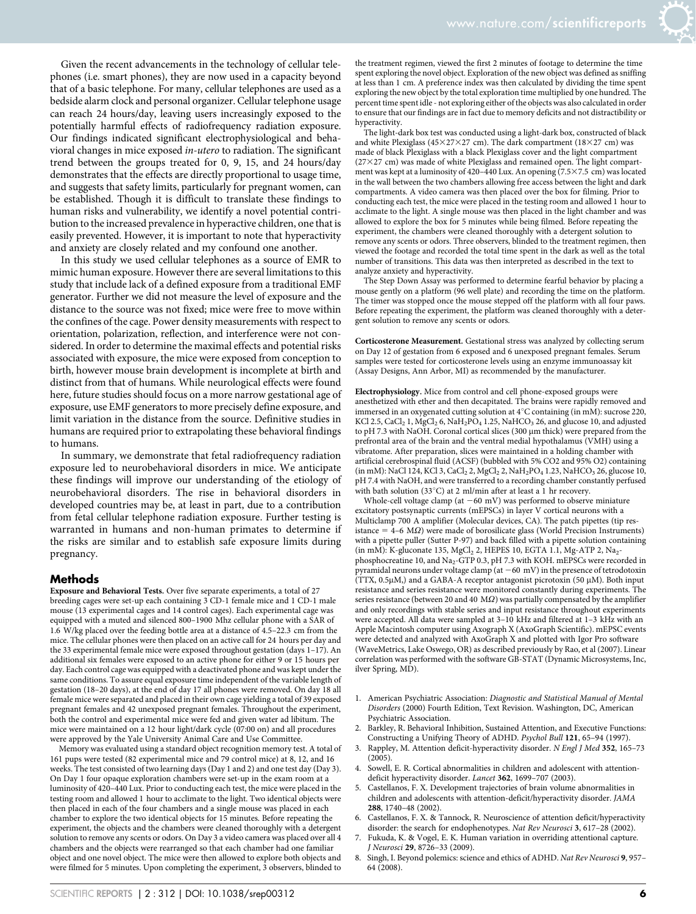Given the recent advancements in the technology of cellular telephones (i.e. smart phones), they are now used in a capacity beyond that of a basic telephone. For many, cellular telephones are used as a bedside alarm clock and personal organizer. Cellular telephone usage can reach 24 hours/day, leaving users increasingly exposed to the potentially harmful effects of radiofrequency radiation exposure. Our findings indicated significant electrophysiological and behavioral changes in mice exposed in-utero to radiation. The significant trend between the groups treated for 0, 9, 15, and 24 hours/day demonstrates that the effects are directly proportional to usage time, and suggests that safety limits, particularly for pregnant women, can be established. Though it is difficult to translate these findings to human risks and vulnerability, we identify a novel potential contribution to the increased prevalence in hyperactive children, one that is easily prevented. However, it is important to note that hyperactivity and anxiety are closely related and my confound one another.

In this study we used cellular telephones as a source of EMR to mimic human exposure. However there are several limitations to this study that include lack of a defined exposure from a traditional EMF generator. Further we did not measure the level of exposure and the distance to the source was not fixed; mice were free to move within the confines of the cage. Power density measurements with respect to orientation, polarization, reflection, and interference were not considered. In order to determine the maximal effects and potential risks associated with exposure, the mice were exposed from conception to birth, however mouse brain development is incomplete at birth and distinct from that of humans. While neurological effects were found here, future studies should focus on a more narrow gestational age of exposure, use EMF generators to more precisely define exposure, and limit variation in the distance from the source. Definitive studies in humans are required prior to extrapolating these behavioral findings to humans.

In summary, we demonstrate that fetal radiofrequency radiation exposure led to neurobehavioral disorders in mice. We anticipate these findings will improve our understanding of the etiology of neurobehavioral disorders. The rise in behavioral disorders in developed countries may be, at least in part, due to a contribution from fetal cellular telephone radiation exposure. Further testing is warranted in humans and non-human primates to determine if the risks are similar and to establish safe exposure limits during pregnancy.

#### Methods

Exposure and Behavioral Tests. Over five separate experiments, a total of 27 breeding cages were set-up each containing 3 CD-1 female mice and 1 CD-1 male mouse (13 experimental cages and 14 control cages). Each experimental cage was equipped with a muted and silenced 800–1900 Mhz cellular phone with a SAR of 1.6 W/kg placed over the feeding bottle area at a distance of 4.5–22.3 cm from the mice. The cellular phones were then placed on an active call for 24 hours per day and the 33 experimental female mice were exposed throughout gestation (days 1–17). An additional six females were exposed to an active phone for either 9 or 15 hours per day. Each control cage was equipped with a deactivated phone and was kept under the same conditions. To assure equal exposure time independent of the variable length of gestation (18–20 days), at the end of day 17 all phones were removed. On day 18 all female mice were separated and placed in their own cage yielding a total of 39 exposed pregnant females and 42 unexposed pregnant females. Throughout the experiment, both the control and experimental mice were fed and given water ad libitum. The mice were maintained on a 12 hour light/dark cycle (07:00 on) and all procedures were approved by the Yale University Animal Care and Use Committee.

Memory was evaluated using a standard object recognition memory test. A total of 161 pups were tested (82 experimental mice and 79 control mice) at 8, 12, and 16 weeks. The test consisted of two learning days (Day 1 and 2) and one test day (Day 3). On Day 1 four opaque exploration chambers were set-up in the exam room at a luminosity of 420–440 Lux. Prior to conducting each test, the mice were placed in the testing room and allowed 1 hour to acclimate to the light. Two identical objects were then placed in each of the four chambers and a single mouse was placed in each chamber to explore the two identical objects for 15 minutes. Before repeating the experiment, the objects and the chambers were cleaned thoroughly with a detergent solution to remove any scents or odors. On Day 3 a video camera was placed over all 4 chambers and the objects were rearranged so that each chamber had one familiar object and one novel object. The mice were then allowed to explore both objects and were filmed for 5 minutes. Upon completing the experiment, 3 observers, blinded to

the treatment regimen, viewed the first 2 minutes of footage to determine the time spent exploring the novel object. Exploration of the new object was defined as sniffing at less than 1 cm. A preference index was then calculated by dividing the time spent exploring the new object by the total exploration time multiplied by one hundred. The percent time spent idle - not exploring either of the objects was also calculated in order to ensure that our findings are in fact due to memory deficits and not distractibility or hyperactivity.

The light-dark box test was conducted using a light-dark box, constructed of black and white Plexiglass (45 $\times$ 27 $\times$ 27 cm). The dark compartment (18 $\times$ 27 cm) was made of black Plexiglass with a black Plexiglass cover and the light compartment  $(27\times27$  cm) was made of white Plexiglass and remained open. The light compartment was kept at a luminosity of 420-440 Lux. An opening (7.5×7.5 cm) was located in the wall between the two chambers allowing free access between the light and dark compartments. A video camera was then placed over the box for filming. Prior to conducting each test, the mice were placed in the testing room and allowed 1 hour to acclimate to the light. A single mouse was then placed in the light chamber and was allowed to explore the box for 5 minutes while being filmed. Before repeating the experiment, the chambers were cleaned thoroughly with a detergent solution to remove any scents or odors. Three observers, blinded to the treatment regimen, then viewed the footage and recorded the total time spent in the dark as well as the total number of transitions. This data was then interpreted as described in the text to analyze anxiety and hyperactivity.

The Step Down Assay was performed to determine fearful behavior by placing a mouse gently on a platform (96 well plate) and recording the time on the platform. The timer was stopped once the mouse stepped off the platform with all four paws. Before repeating the experiment, the platform was cleaned thoroughly with a detergent solution to remove any scents or odors.

Corticosterone Measurement. Gestational stress was analyzed by collecting serum on Day 12 of gestation from 6 exposed and 6 unexposed pregnant females. Serum samples were tested for corticosterone levels using an enzyme immunoassay kit (Assay Designs, Ann Arbor, MI) as recommended by the manufacturer.

Electrophysiology. Mice from control and cell phone-exposed groups were anesthetized with ether and then decapitated. The brains were rapidly removed and immersed in an oxygenated cutting solution at  $4^{\circ}$ C containing (in mM): sucrose 220, KCl 2.5, CaCl<sub>2</sub> 1, MgCl<sub>2</sub> 6, NaH<sub>2</sub>PO<sub>4</sub> 1.25, NaHCO<sub>3</sub> 26, and glucose 10, and adjusted to pH 7.3 with NaOH. Coronal cortical slices (300 µm thick) were prepared from the prefrontal area of the brain and the ventral medial hypothalamus (VMH) using a vibratome. After preparation, slices were maintained in a holding chamber with artificial cerebrospinal fluid (ACSF) (bubbled with 5% CO2 and 95% O2) containing (in mM): NaCl 124, KCl 3, CaCl<sub>2</sub> 2, MgCl<sub>2</sub> 2, NaH<sub>2</sub>PO<sub>4</sub> 1.23, NaHCO<sub>3</sub> 26, glucose 10, pH 7.4 with NaOH, and were transferred to a recording chamber constantly perfused with bath solution (33 $^{\circ}$ C) at 2 ml/min after at least a 1 hr recovery.

Whole-cell voltage clamp (at  $-60$  mV) was performed to observe miniature excitatory postsynaptic currents (mEPSCs) in layer V cortical neurons with a Multiclamp 700 A amplifier (Molecular devices, CA). The patch pipettes (tip resistance  $= 4-6$  M $\Omega$ ) were made of borosilicate glass (World Precision Instruments) with a pipette puller (Sutter P-97) and back filled with a pipette solution containing (in mM): K-gluconate 135,  $MgCl<sub>2</sub>$  2, HEPES 10, EGTA 1.1, Mg-ATP 2, Na<sub>2</sub>phosphocreatine 10, and Na<sub>2</sub>-GTP 0.3, pH 7.3 with KOH. mEPSCs were recorded in pyramidal neurons under voltage clamp (at  $-60$  mV) in the presence of tetrodotoxin (TTX, 0.5 $\mu$ M,) and a GABA-A receptor antagonist picrotoxin (50  $\mu$ M). Both input resistance and series resistance were monitored constantly during experiments. The series resistance (between 20 and 40  $MQ$ ) was partially compensated by the amplifier and only recordings with stable series and input resistance throughout experiments were accepted. All data were sampled at 3–10 kHz and filtered at 1–3 kHz with an Apple Macintosh computer using Axograph X (AxoGraph Scientific). mEPSC events were detected and analyzed with AxoGraph X and plotted with Igor Pro software (WaveMetrics, Lake Oswego, OR) as described previously by Rao, et al (2007). Linear correlation was performed with the software GB-STAT (Dynamic Microsystems, Inc, ilver Spring, MD).

- 1. American Psychiatric Association: Diagnostic and Statistical Manual of Mental Disorders (2000) Fourth Edition, Text Revision. Washington, DC, American Psychiatric Association.
- 2. Barkley, R. Behavioral Inhibition, Sustained Attention, and Executive Functions: Constructing a Unifying Theory of ADHD. Psychol Bull 121, 65–94 (1997).
- Rappley, M. Attention deficit-hyperactivity disorder. N Engl J Med 352, 165-73  $(2005)$ .
- 4. Sowell, E. R. Cortical abnormalities in children and adolescent with attentiondeficit hyperactivity disorder. Lancet 362, 1699–707 (2003).
- 5. Castellanos, F. X. Development trajectories of brain volume abnormalities in children and adolescents with attention-deficit/hyperactivity disorder. JAMA 288, 1740–48 (2002).
- 6. Castellanos, F. X. & Tannock, R. Neuroscience of attention deficit/hyperactivity disorder: the search for endophenotypes. Nat Rev Neurosci 3, 617-28 (2002).
- Fukuda, K. & Vogel, E. K. Human variation in overriding attentional capture. J Neurosci 29, 8726–33 (2009).
- Singh, I. Beyond polemics: science and ethics of ADHD. Nat Rev Neurosci 9, 957-64 (2008).